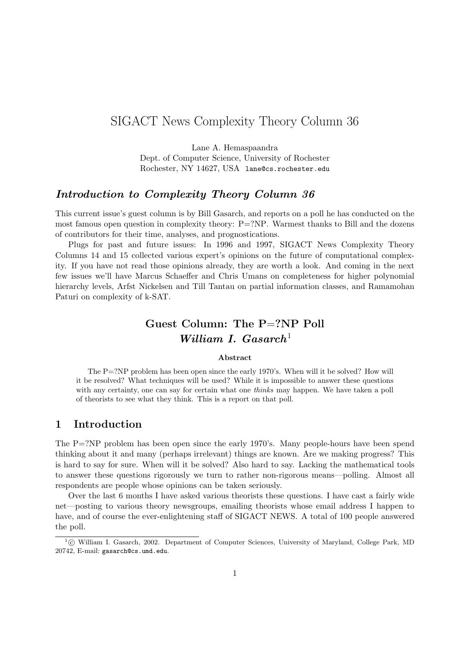# SIGACT News Complexity Theory Column 36

Lane A. Hemaspaandra Dept. of Computer Science, University of Rochester Rochester, NY 14627, USA lane@cs.rochester.edu

## Introduction to Complexity Theory Column 36

This current issue's guest column is by Bill Gasarch, and reports on a poll he has conducted on the most famous open question in complexity theory:  $P = ?NP$ . Warmest thanks to Bill and the dozens of contributors for their time, analyses, and prognostications.

Plugs for past and future issues: In 1996 and 1997, SIGACT News Complexity Theory Columns 14 and 15 collected various expert's opinions on the future of computational complexity. If you have not read those opinions already, they are worth a look. And coming in the next few issues we'll have Marcus Schaeffer and Chris Umans on completeness for higher polynomial hierarchy levels, Arfst Nickelsen and Till Tantau on partial information classes, and Ramamohan Paturi on complexity of k-SAT.

# Guest Column: The P=?NP Poll William I. Gasarch $^1$

### Abstract

The P=?NP problem has been open since the early 1970's. When will it be solved? How will it be resolved? What techniques will be used? While it is impossible to answer these questions with any certainty, one can say for certain what one *thinks* may happen. We have taken a poll of theorists to see what they think. This is a report on that poll.

## 1 Introduction

The P=?NP problem has been open since the early 1970's. Many people-hours have been spend thinking about it and many (perhaps irrelevant) things are known. Are we making progress? This is hard to say for sure. When will it be solved? Also hard to say. Lacking the mathematical tools to answer these questions rigorously we turn to rather non-rigorous means—polling. Almost all respondents are people whose opinions can be taken seriously.

Over the last 6 months I have asked various theorists these questions. I have cast a fairly wide net—posting to various theory newsgroups, emailing theorists whose email address I happen to have, and of course the ever-enlightening staff of SIGACT NEWS. A total of 100 people answered the poll.

<sup>&</sup>lt;sup>1</sup>(c) William I. Gasarch, 2002. Department of Computer Sciences, University of Maryland, College Park, MD 20742, E-mail: gasarch@cs.umd.edu.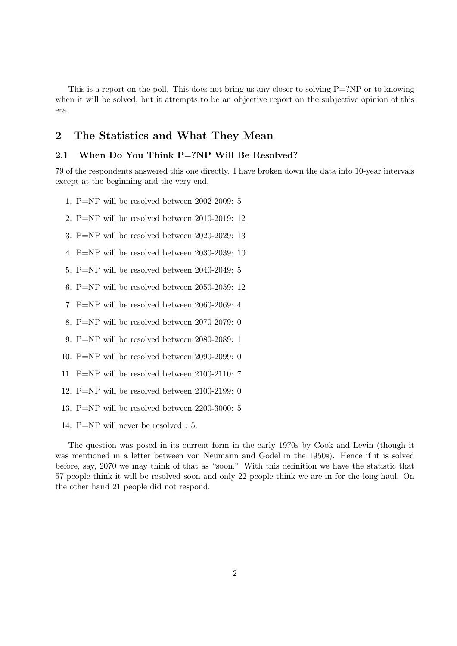This is a report on the poll. This does not bring us any closer to solving  $P=?NP$  or to knowing when it will be solved, but it attempts to be an objective report on the subjective opinion of this era.

# 2 The Statistics and What They Mean

# 2.1 When Do You Think P=?NP Will Be Resolved?

79 of the respondents answered this one directly. I have broken down the data into 10-year intervals except at the beginning and the very end.

- 1. P=NP will be resolved between 2002-2009: 5
- 2. P=NP will be resolved between 2010-2019: 12
- 3. P=NP will be resolved between 2020-2029: 13
- 4. P=NP will be resolved between 2030-2039: 10
- 5. P=NP will be resolved between 2040-2049: 5
- 6. P=NP will be resolved between 2050-2059: 12
- 7. P=NP will be resolved between 2060-2069: 4
- 8. P=NP will be resolved between 2070-2079: 0
- 9. P=NP will be resolved between 2080-2089: 1
- 10. P=NP will be resolved between 2090-2099: 0
- 11. P=NP will be resolved between 2100-2110: 7
- 12. P=NP will be resolved between 2100-2199: 0
- 13. P=NP will be resolved between 2200-3000: 5
- 14. P=NP will never be resolved : 5.

The question was posed in its current form in the early 1970s by Cook and Levin (though it was mentioned in a letter between von Neumann and Gödel in the 1950s). Hence if it is solved before, say, 2070 we may think of that as "soon." With this definition we have the statistic that 57 people think it will be resolved soon and only 22 people think we are in for the long haul. On the other hand 21 people did not respond.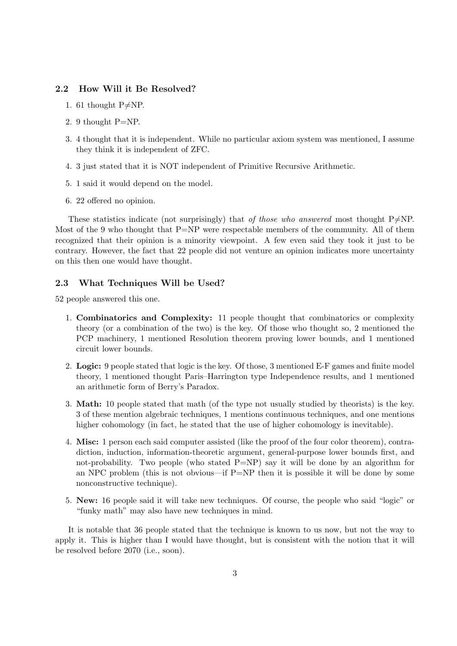### 2.2 How Will it Be Resolved?

- 1. 61 thought  $P\neq NP$ .
- 2. 9 thought P=NP.
- 3. 4 thought that it is independent. While no particular axiom system was mentioned, I assume they think it is independent of ZFC.
- 4. 3 just stated that it is NOT independent of Primitive Recursive Arithmetic.
- 5. 1 said it would depend on the model.
- 6. 22 offered no opinion.

These statistics indicate (not surprisingly) that of those who answered most thought P $\neq$ NP. Most of the 9 who thought that  $P=NP$  were respectable members of the community. All of them recognized that their opinion is a minority viewpoint. A few even said they took it just to be contrary. However, the fact that 22 people did not venture an opinion indicates more uncertainty on this then one would have thought.

### 2.3 What Techniques Will be Used?

52 people answered this one.

- 1. Combinatorics and Complexity: 11 people thought that combinatorics or complexity theory (or a combination of the two) is the key. Of those who thought so, 2 mentioned the PCP machinery, 1 mentioned Resolution theorem proving lower bounds, and 1 mentioned circuit lower bounds.
- 2. Logic: 9 people stated that logic is the key. Of those, 3 mentioned E-F games and finite model theory, 1 mentioned thought Paris–Harrington type Independence results, and 1 mentioned an arithmetic form of Berry's Paradox.
- 3. Math: 10 people stated that math (of the type not usually studied by theorists) is the key. 3 of these mention algebraic techniques, 1 mentions continuous techniques, and one mentions higher cohomology (in fact, he stated that the use of higher cohomology is inevitable).
- 4. Misc: 1 person each said computer assisted (like the proof of the four color theorem), contradiction, induction, information-theoretic argument, general-purpose lower bounds first, and not-probability. Two people (who stated  $P=NP$ ) say it will be done by an algorithm for an NPC problem (this is not obvious—if P=NP then it is possible it will be done by some nonconstructive technique).
- 5. New: 16 people said it will take new techniques. Of course, the people who said "logic" or "funky math" may also have new techniques in mind.

It is notable that 36 people stated that the technique is known to us now, but not the way to apply it. This is higher than I would have thought, but is consistent with the notion that it will be resolved before 2070 (i.e., soon).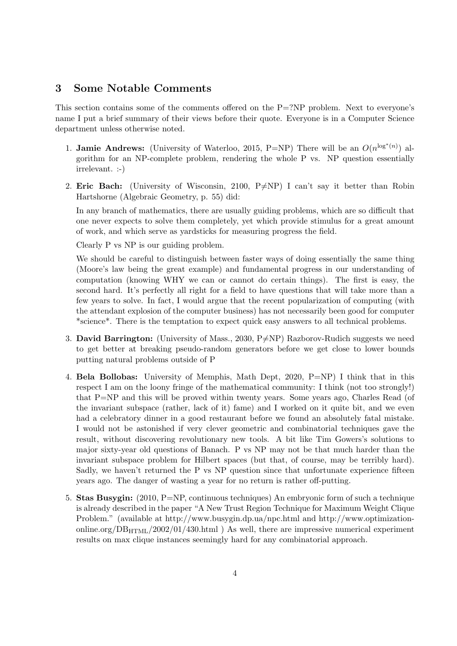## 3 Some Notable Comments

This section contains some of the comments offered on the  $P=?NP$  problem. Next to everyone's name I put a brief summary of their views before their quote. Everyone is in a Computer Science department unless otherwise noted.

- 1. **Jamie Andrews:** (University of Waterloo, 2015, P=NP) There will be an  $O(n^{\log^*(n)})$  algorithm for an NP-complete problem, rendering the whole P vs. NP question essentially irrelevant. :-)
- 2. Eric Bach: (University of Wisconsin, 2100,  $P \neq NP$ ) I can't say it better than Robin Hartshorne (Algebraic Geometry, p. 55) did:

In any branch of mathematics, there are usually guiding problems, which are so difficult that one never expects to solve them completely, yet which provide stimulus for a great amount of work, and which serve as yardsticks for measuring progress the field.

Clearly P vs NP is our guiding problem.

We should be careful to distinguish between faster ways of doing essentially the same thing (Moore's law being the great example) and fundamental progress in our understanding of computation (knowing WHY we can or cannot do certain things). The first is easy, the second hard. It's perfectly all right for a field to have questions that will take more than a few years to solve. In fact, I would argue that the recent popularization of computing (with the attendant explosion of the computer business) has not necessarily been good for computer \*science\*. There is the temptation to expect quick easy answers to all technical problems.

- 3. David Barrington: (University of Mass., 2030,  $P \neq NP$ ) Razborov-Rudich suggests we need to get better at breaking pseudo-random generators before we get close to lower bounds putting natural problems outside of P
- 4. Bela Bollobas: University of Memphis, Math Dept, 2020,  $P=NP$ ) I think that in this respect I am on the loony fringe of the mathematical community: I think (not too strongly!) that P=NP and this will be proved within twenty years. Some years ago, Charles Read (of the invariant subspace (rather, lack of it) fame) and I worked on it quite bit, and we even had a celebratory dinner in a good restaurant before we found an absolutely fatal mistake. I would not be astonished if very clever geometric and combinatorial techniques gave the result, without discovering revolutionary new tools. A bit like Tim Gowers's solutions to major sixty-year old questions of Banach. P vs NP may not be that much harder than the invariant subspace problem for Hilbert spaces (but that, of course, may be terribly hard). Sadly, we haven't returned the P vs NP question since that unfortunate experience fifteen years ago. The danger of wasting a year for no return is rather off-putting.
- 5. Stas Busygin: (2010, P=NP, continuous techniques) An embryonic form of such a technique is already described in the paper "A New Trust Region Technique for Maximum Weight Clique Problem." (available at http://www.busygin.dp.ua/npc.html and http://www.optimizationonline.org/DB $_{\text{HTMI}}$ /2002/01/430.html ) As well, there are impressive numerical experiment results on max clique instances seemingly hard for any combinatorial approach.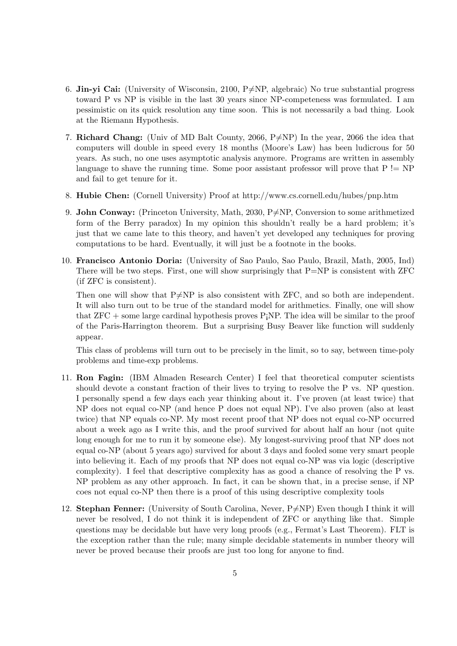- 6. **Jin-yi Cai:** (University of Wisconsin, 2100, P $\neq$ NP, algebraic) No true substantial progress toward P vs NP is visible in the last 30 years since NP-competeness was formulated. I am pessimistic on its quick resolution any time soon. This is not necessarily a bad thing. Look at the Riemann Hypothesis.
- 7. Richard Chang: (Univ of MD Balt County, 2066,  $P\neq NP$ ) In the year, 2066 the idea that computers will double in speed every 18 months (Moore's Law) has been ludicrous for 50 years. As such, no one uses asymptotic analysis anymore. Programs are written in assembly language to shave the running time. Some poor assistant professor will prove that  $P \equiv NP$ and fail to get tenure for it.
- 8. Hubie Chen: (Cornell University) Proof at http://www.cs.cornell.edu/hubes/pnp.htm
- 9. **John Conway:** (Princeton University, Math, 2030,  $P \neq NP$ , Conversion to some arithmetized form of the Berry paradox) In my opinion this shouldn't really be a hard problem; it's just that we came late to this theory, and haven't yet developed any techniques for proving computations to be hard. Eventually, it will just be a footnote in the books.
- 10. Francisco Antonio Doria: (University of Sao Paulo, Sao Paulo, Brazil, Math, 2005, Ind) There will be two steps. First, one will show surprisingly that P=NP is consistent with ZFC (if ZFC is consistent).

Then one will show that  $P\neq NP$  is also consistent with ZFC, and so both are independent. It will also turn out to be true of the standard model for arithmetics. Finally, one will show that  $ZFC$  + some large cardinal hypothesis proves  $P_iNP$ . The idea will be similar to the proof of the Paris-Harrington theorem. But a surprising Busy Beaver like function will suddenly appear.

This class of problems will turn out to be precisely in the limit, so to say, between time-poly problems and time-exp problems.

- 11. Ron Fagin: (IBM Almaden Research Center) I feel that theoretical computer scientists should devote a constant fraction of their lives to trying to resolve the P vs. NP question. I personally spend a few days each year thinking about it. I've proven (at least twice) that NP does not equal co-NP (and hence P does not equal NP). I've also proven (also at least twice) that NP equals co-NP. My most recent proof that NP does not equal co-NP occurred about a week ago as I write this, and the proof survived for about half an hour (not quite long enough for me to run it by someone else). My longest-surviving proof that NP does not equal co-NP (about 5 years ago) survived for about 3 days and fooled some very smart people into believing it. Each of my proofs that NP does not equal co-NP was via logic (descriptive complexity). I feel that descriptive complexity has as good a chance of resolving the P vs. NP problem as any other approach. In fact, it can be shown that, in a precise sense, if NP coes not equal co-NP then there is a proof of this using descriptive complexity tools
- 12. Stephan Fenner: (University of South Carolina, Never,  $P\neq NP$ ) Even though I think it will never be resolved, I do not think it is independent of ZFC or anything like that. Simple questions may be decidable but have very long proofs (e.g., Fermat's Last Theorem). FLT is the exception rather than the rule; many simple decidable statements in number theory will never be proved because their proofs are just too long for anyone to find.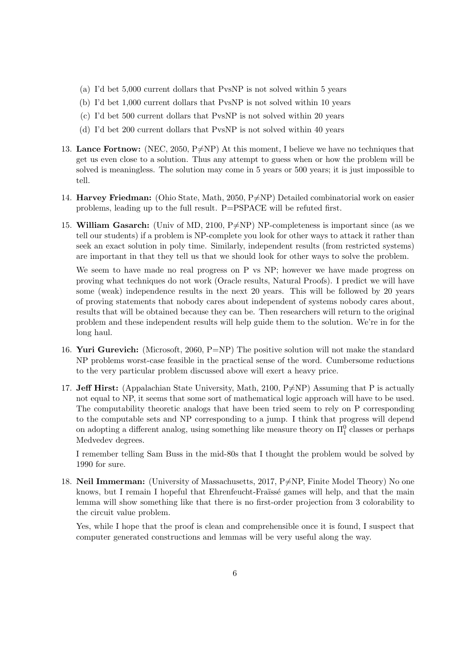- (a) I'd bet 5,000 current dollars that PvsNP is not solved within 5 years
- (b) I'd bet 1,000 current dollars that PvsNP is not solved within 10 years
- (c) I'd bet 500 current dollars that PvsNP is not solved within 20 years
- (d) I'd bet 200 current dollars that PvsNP is not solved within 40 years
- 13. Lance Fortnow: (NEC, 2050,  $P \neq NP$ ) At this moment, I believe we have no techniques that get us even close to a solution. Thus any attempt to guess when or how the problem will be solved is meaningless. The solution may come in 5 years or 500 years; it is just impossible to tell.
- 14. Harvey Friedman: (Ohio State, Math, 2050,  $P\neq NP$ ) Detailed combinatorial work on easier problems, leading up to the full result. P=PSPACE will be refuted first.
- 15. William Gasarch: (Univ of MD, 2100,  $P\neq NP$ ) NP-completeness is important since (as we tell our students) if a problem is NP-complete you look for other ways to attack it rather than seek an exact solution in poly time. Similarly, independent results (from restricted systems) are important in that they tell us that we should look for other ways to solve the problem.

We seem to have made no real progress on P vs NP; however we have made progress on proving what techniques do not work (Oracle results, Natural Proofs). I predict we will have some (weak) independence results in the next 20 years. This will be followed by 20 years of proving statements that nobody cares about independent of systems nobody cares about, results that will be obtained because they can be. Then researchers will return to the original problem and these independent results will help guide them to the solution. We're in for the long haul.

- 16. Yuri Gurevich: (Microsoft, 2060, P=NP) The positive solution will not make the standard NP problems worst-case feasible in the practical sense of the word. Cumbersome reductions to the very particular problem discussed above will exert a heavy price.
- 17. **Jeff Hirst:** (Appalachian State University, Math, 2100,  $P\neq NP$ ) Assuming that P is actually not equal to NP, it seems that some sort of mathematical logic approach will have to be used. The computability theoretic analogs that have been tried seem to rely on P corresponding to the computable sets and NP corresponding to a jump. I think that progress will depend on adopting a different analog, using something like measure theory on  $\Pi_1^0$  classes or perhaps Medvedev degrees.

I remember telling Sam Buss in the mid-80s that I thought the problem would be solved by 1990 for sure.

18. Neil Immerman: (University of Massachusetts, 2017,  $P\neq NP$ , Finite Model Theory) No one knows, but I remain I hopeful that Ehrenfeucht-Fraïssé games will help, and that the main lemma will show something like that there is no first-order projection from 3 colorability to the circuit value problem.

Yes, while I hope that the proof is clean and comprehensible once it is found, I suspect that computer generated constructions and lemmas will be very useful along the way.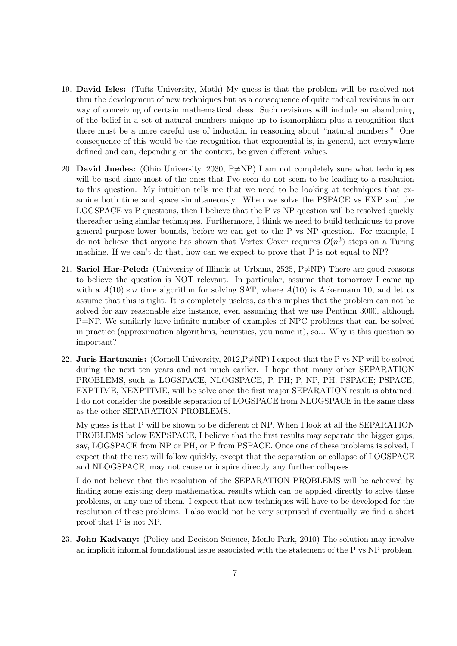- 19. David Isles: (Tufts University, Math) My guess is that the problem will be resolved not thru the development of new techniques but as a consequence of quite radical revisions in our way of conceiving of certain mathematical ideas. Such revisions will include an abandoning of the belief in a set of natural numbers unique up to isomorphism plus a recognition that there must be a more careful use of induction in reasoning about "natural numbers." One consequence of this would be the recognition that exponential is, in general, not everywhere defined and can, depending on the context, be given different values.
- 20. David Juedes: (Ohio University, 2030,  $P\neq NP$ ) I am not completely sure what techniques will be used since most of the ones that I've seen do not seem to be leading to a resolution to this question. My intuition tells me that we need to be looking at techniques that examine both time and space simultaneously. When we solve the PSPACE vs EXP and the LOGSPACE vs P questions, then I believe that the P vs NP question will be resolved quickly thereafter using similar techniques. Furthermore, I think we need to build techniques to prove general purpose lower bounds, before we can get to the P vs NP question. For example, I do not believe that anyone has shown that Vertex Cover requires  $O(n^3)$  steps on a Turing machine. If we can't do that, how can we expect to prove that P is not equal to NP?
- 21. Sariel Har-Peled: (University of Illinois at Urbana, 2525,  $P\neq NP$ ) There are good reasons to believe the question is NOT relevant. In particular, assume that tomorrow I came up with a  $A(10) * n$  time algorithm for solving SAT, where  $A(10)$  is Ackermann 10, and let us assume that this is tight. It is completely useless, as this implies that the problem can not be solved for any reasonable size instance, even assuming that we use Pentium 3000, although P=NP. We similarly have infinite number of examples of NPC problems that can be solved in practice (approximation algorithms, heuristics, you name it), so... Why is this question so important?
- 22. Juris Hartmanis: (Cornell University,  $2012.P\neq NP$ ) I expect that the P vs NP will be solved during the next ten years and not much earlier. I hope that many other SEPARATION PROBLEMS, such as LOGSPACE, NLOGSPACE, P, PH; P, NP, PH, PSPACE; PSPACE, EXPTIME, NEXPTIME, will be solve once the first major SEPARATION result is obtained. I do not consider the possible separation of LOGSPACE from NLOGSPACE in the same class as the other SEPARATION PROBLEMS.

My guess is that P will be shown to be different of NP. When I look at all the SEPARATION PROBLEMS below EXPSPACE, I believe that the first results may separate the bigger gaps, say, LOGSPACE from NP or PH, or P from PSPACE. Once one of these problems is solved, I expect that the rest will follow quickly, except that the separation or collapse of LOGSPACE and NLOGSPACE, may not cause or inspire directly any further collapses.

I do not believe that the resolution of the SEPARATION PROBLEMS will be achieved by finding some existing deep mathematical results which can be applied directly to solve these problems, or any one of them. I expect that new techniques will have to be developed for the resolution of these problems. I also would not be very surprised if eventually we find a short proof that P is not NP.

23. John Kadvany: (Policy and Decision Science, Menlo Park, 2010) The solution may involve an implicit informal foundational issue associated with the statement of the P vs NP problem.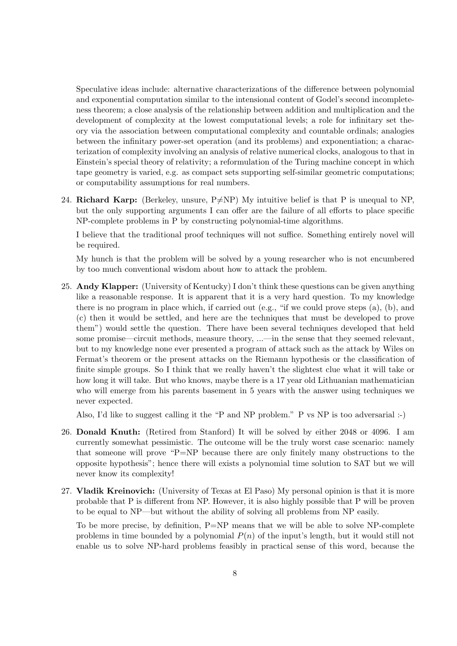Speculative ideas include: alternative characterizations of the difference between polynomial and exponential computation similar to the intensional content of Godel's second incompleteness theorem; a close analysis of the relationship between addition and multiplication and the development of complexity at the lowest computational levels; a role for infinitary set theory via the association between computational complexity and countable ordinals; analogies between the infinitary power-set operation (and its problems) and exponentiation; a characterization of complexity involving an analysis of relative numerical clocks, analogous to that in Einstein's special theory of relativity; a reformulation of the Turing machine concept in which tape geometry is varied, e.g. as compact sets supporting self-similar geometric computations; or computability assumptions for real numbers.

24. Richard Karp: (Berkeley, unsure,  $P\neq NP$ ) My intuitive belief is that P is unequal to NP, but the only supporting arguments I can offer are the failure of all efforts to place specific NP-complete problems in P by constructing polynomial-time algorithms.

I believe that the traditional proof techniques will not suffice. Something entirely novel will be required.

My hunch is that the problem will be solved by a young researcher who is not encumbered by too much conventional wisdom about how to attack the problem.

25. Andy Klapper: (University of Kentucky) I don't think these questions can be given anything like a reasonable response. It is apparent that it is a very hard question. To my knowledge there is no program in place which, if carried out (e.g., "if we could prove steps  $(a)$ ,  $(b)$ , and (c) then it would be settled, and here are the techniques that must be developed to prove them") would settle the question. There have been several techniques developed that held some promise—circuit methods, measure theory, ...—in the sense that they seemed relevant, but to my knowledge none ever presented a program of attack such as the attack by Wiles on Fermat's theorem or the present attacks on the Riemann hypothesis or the classification of finite simple groups. So I think that we really haven't the slightest clue what it will take or how long it will take. But who knows, maybe there is a 17 year old Lithuanian mathematician who will emerge from his parents basement in 5 years with the answer using techniques we never expected.

Also, I'd like to suggest calling it the "P and NP problem." P vs NP is too adversarial :-)

- 26. Donald Knuth: (Retired from Stanford) It will be solved by either 2048 or 4096. I am currently somewhat pessimistic. The outcome will be the truly worst case scenario: namely that someone will prove "P=NP because there are only finitely many obstructions to the opposite hypothesis"; hence there will exists a polynomial time solution to SAT but we will never know its complexity!
- 27. Vladik Kreinovich: (University of Texas at El Paso) My personal opinion is that it is more probable that P is different from NP. However, it is also highly possible that P will be proven to be equal to NP—but without the ability of solving all problems from NP easily.

To be more precise, by definition, P=NP means that we will be able to solve NP-complete problems in time bounded by a polynomial  $P(n)$  of the input's length, but it would still not enable us to solve NP-hard problems feasibly in practical sense of this word, because the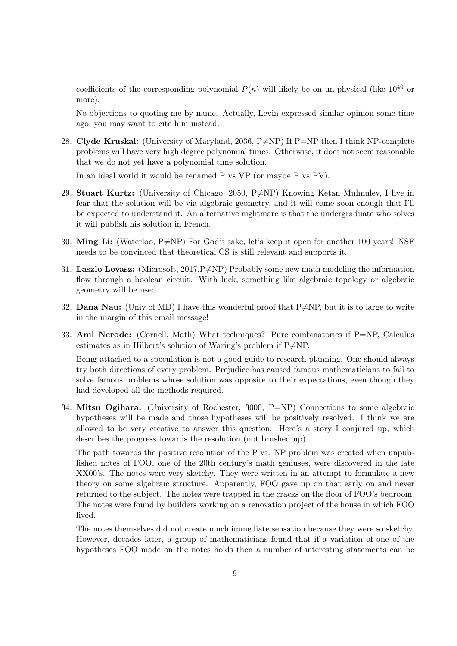coefficients of the corresponding polynomial  $P(n)$  will likely be on un-physical (like  $10^{40}$  or more).

No objections to quoting me by name. Actually, Levin expressed similar opinion some time ago, you may want to cite him instead.

28. Clyde Kruskal: (University of Maryland, 2036,  $P\neq NP$ ) If  $P=NP$  then I think NP-complete problems will have very high degree polynomial times. Otherwise, it does not seem reasonable that we do not yet have a polynomial time solution.

In an ideal world it would be renamed P vs VP (or maybe P vs PV).

- 29. Stuart Kurtz: (University of Chicago, 2050,  $P\neq NP$ ) Knowing Ketan Mulmuley, I live in fear that the solution will be via algebraic geometry, and it will come soon enough that I'll be expected to understand it. An alternative nightmare is that the undergraduate who solves it will publish his solution in French.
- 30. Ming Li: (Waterloo,  $P\neq NP$ ) For God's sake, let's keep it open for another 100 years! NSF needs to be convinced that theoretical CS is still relevant and supports it.
- 31. Laszlo Lovasz: (Microsoft,  $2017,\mathbb{P} \neq \mathbb{NP}$ ) Probably some new math modeling the information flow through a boolean circuit. With luck, something like algebraic topology or algebraic geometry will be used.
- 32. **Dana Nau:** (Univ of MD) I have this wonderful proof that  $P\neq NP$ , but it is to large to write in the margin of this email message!
- 33. Anil Nerode: (Cornell, Math) What techniques? Pure combinatorics if P=NP, Calculus estimates as in Hilbert's solution of Waring's problem if  $P\neq NP$ .

Being attached to a speculation is not a good guide to research planning. One should always try both directions of every problem. Prejudice has caused famous mathematicians to fail to solve famous problems whose solution was opposite to their expectations, even though they had developed all the methods required.

34. Mitsu Ogihara: (University of Rochester, 3000, P=NP) Connections to some algebraic hypotheses will be made and those hypotheses will be positively resolved. I think we are allowed to be very creative to answer this question. Here's a story I conjured up, which describes the progress towards the resolution (not brushed up).

The path towards the positive resolution of the P vs. NP problem was created when unpublished notes of FOO, one of the 20th century's math geniuses, were discovered in the late XX00's. The notes were very sketchy. They were written in an attempt to formulate a new theory on some algebraic structure. Apparently, FOO gave up on that early on and never returned to the subject. The notes were trapped in the cracks on the floor of FOO's bedroom. The notes were found by builders working on a renovation project of the house in which FOO lived.

The notes themselves did not create much immediate sensation because they were so sketchy. However, decades later, a group of mathematicians found that if a variation of one of the hypotheses FOO made on the notes holds then a number of interesting statements can be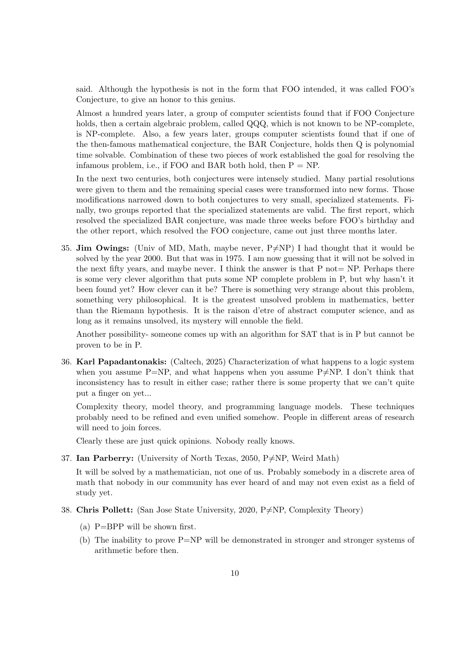said. Although the hypothesis is not in the form that FOO intended, it was called FOO's Conjecture, to give an honor to this genius.

Almost a hundred years later, a group of computer scientists found that if FOO Conjecture holds, then a certain algebraic problem, called QQQ, which is not known to be NP-complete, is NP-complete. Also, a few years later, groups computer scientists found that if one of the then-famous mathematical conjecture, the BAR Conjecture, holds then Q is polynomial time solvable. Combination of these two pieces of work established the goal for resolving the infamous problem, i.e., if FOO and BAR both hold, then  $P = NP$ .

In the next two centuries, both conjectures were intensely studied. Many partial resolutions were given to them and the remaining special cases were transformed into new forms. Those modifications narrowed down to both conjectures to very small, specialized statements. Finally, two groups reported that the specialized statements are valid. The first report, which resolved the specialized BAR conjecture, was made three weeks before FOO's birthday and the other report, which resolved the FOO conjecture, came out just three months later.

35. **Jim Owings:** (Univ of MD, Math, maybe never,  $P\neq NP$ ) I had thought that it would be solved by the year 2000. But that was in 1975. I am now guessing that it will not be solved in the next fifty years, and maybe never. I think the answer is that  $P$  not  $= NP$ . Perhaps there is some very clever algorithm that puts some NP complete problem in P, but why hasn't it been found yet? How clever can it be? There is something very strange about this problem, something very philosophical. It is the greatest unsolved problem in mathematics, better than the Riemann hypothesis. It is the raison d'etre of abstract computer science, and as long as it remains unsolved, its mystery will ennoble the field.

Another possibility- someone comes up with an algorithm for SAT that is in P but cannot be proven to be in P.

36. Karl Papadantonakis: (Caltech, 2025) Characterization of what happens to a logic system when you assume P=NP, and what happens when you assume  $P\neq NP$ . I don't think that inconsistency has to result in either case; rather there is some property that we can't quite put a finger on yet...

Complexity theory, model theory, and programming language models. These techniques probably need to be refined and even unified somehow. People in different areas of research will need to join forces.

Clearly these are just quick opinions. Nobody really knows.

37. Ian Parberry: (University of North Texas, 2050,  $P\neq NP$ , Weird Math)

It will be solved by a mathematician, not one of us. Probably somebody in a discrete area of math that nobody in our community has ever heard of and may not even exist as a field of study yet.

38. Chris Pollett: (San Jose State University, 2020,  $P\neq NP$ , Complexity Theory)

- (a) P=BPP will be shown first.
- (b) The inability to prove P=NP will be demonstrated in stronger and stronger systems of arithmetic before then.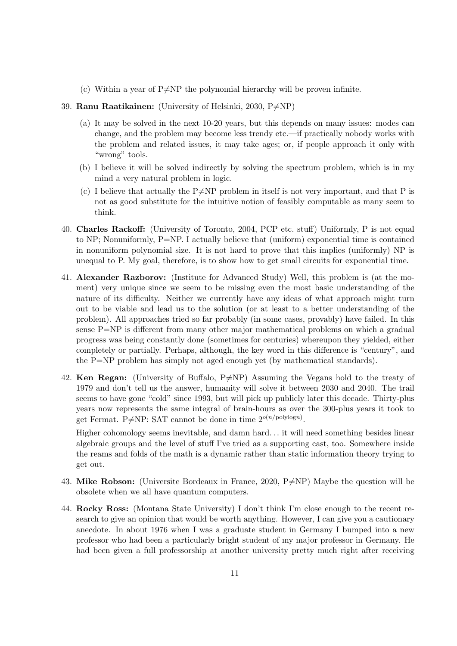(c) Within a year of  $P\neq NP$  the polynomial hierarchy will be proven infinite.

#### 39. Ranu Raatikainen: (University of Helsinki, 2030,  $P\neq NP$ )

- (a) It may be solved in the next 10-20 years, but this depends on many issues: modes can change, and the problem may become less trendy etc.—if practically nobody works with the problem and related issues, it may take ages; or, if people approach it only with "wrong" tools.
- (b) I believe it will be solved indirectly by solving the spectrum problem, which is in my mind a very natural problem in logic.
- (c) I believe that actually the  $P\neq NP$  problem in itself is not very important, and that P is not as good substitute for the intuitive notion of feasibly computable as many seem to think.
- 40. Charles Rackoff: (University of Toronto, 2004, PCP etc. stuff) Uniformly, P is not equal to NP; Nonuniformly, P=NP. I actually believe that (uniform) exponential time is contained in nonuniform polynomial size. It is not hard to prove that this implies (uniformly) NP is unequal to P. My goal, therefore, is to show how to get small circuits for exponential time.
- 41. Alexander Razborov: (Institute for Advanced Study) Well, this problem is (at the moment) very unique since we seem to be missing even the most basic understanding of the nature of its difficulty. Neither we currently have any ideas of what approach might turn out to be viable and lead us to the solution (or at least to a better understanding of the problem). All approaches tried so far probably (in some cases, provably) have failed. In this sense P=NP is different from many other major mathematical problems on which a gradual progress was being constantly done (sometimes for centuries) whereupon they yielded, either completely or partially. Perhaps, although, the key word in this difference is "century", and the P=NP problem has simply not aged enough yet (by mathematical standards).
- 42. Ken Regan: (University of Buffalo,  $P\neq NP$ ) Assuming the Vegans hold to the treaty of 1979 and don't tell us the answer, humanity will solve it between 2030 and 2040. The trail seems to have gone "cold" since 1993, but will pick up publicly later this decade. Thirty-plus years now represents the same integral of brain-hours as over the 300-plus years it took to get Fermat. P $\neq$ NP: SAT cannot be done in time  $2^{o(n/\text{polylog} n)}$ .

Higher cohomology seems inevitable, and damn hard. . . it will need something besides linear algebraic groups and the level of stuff I've tried as a supporting cast, too. Somewhere inside the reams and folds of the math is a dynamic rather than static information theory trying to get out.

- 43. Mike Robson: (Universite Bordeaux in France, 2020,  $P\neq NP$ ) Maybe the question will be obsolete when we all have quantum computers.
- 44. Rocky Ross: (Montana State University) I don't think I'm close enough to the recent research to give an opinion that would be worth anything. However, I can give you a cautionary anecdote. In about 1976 when I was a graduate student in Germany I bumped into a new professor who had been a particularly bright student of my major professor in Germany. He had been given a full professorship at another university pretty much right after receiving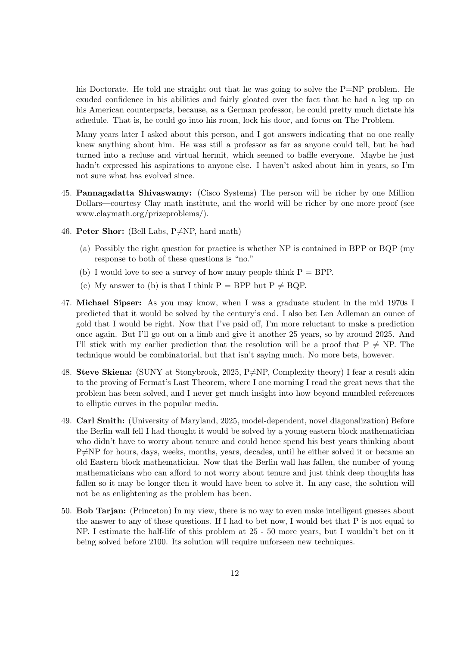his Doctorate. He told me straight out that he was going to solve the  $P=NP$  problem. He exuded confidence in his abilities and fairly gloated over the fact that he had a leg up on his American counterparts, because, as a German professor, he could pretty much dictate his schedule. That is, he could go into his room, lock his door, and focus on The Problem.

Many years later I asked about this person, and I got answers indicating that no one really knew anything about him. He was still a professor as far as anyone could tell, but he had turned into a recluse and virtual hermit, which seemed to baffle everyone. Maybe he just hadn't expressed his aspirations to anyone else. I haven't asked about him in years, so I'm not sure what has evolved since.

- 45. Pannagadatta Shivaswamy: (Cisco Systems) The person will be richer by one Million Dollars—courtesy Clay math institute, and the world will be richer by one more proof (see www.claymath.org/prizeproblems/).
- 46. Peter Shor: (Bell Labs,  $P\neq NP$ , hard math)
	- (a) Possibly the right question for practice is whether NP is contained in BPP or BQP (my response to both of these questions is "no."
	- (b) I would love to see a survey of how many people think  $P = BPP$ .
	- (c) My answer to (b) is that I think  $P = BPP$  but  $P \neq BQP$ .
- 47. Michael Sipser: As you may know, when I was a graduate student in the mid 1970s I predicted that it would be solved by the century's end. I also bet Len Adleman an ounce of gold that I would be right. Now that I've paid off, I'm more reluctant to make a prediction once again. But I'll go out on a limb and give it another 25 years, so by around 2025. And I'll stick with my earlier prediction that the resolution will be a proof that  $P \neq NP$ . The technique would be combinatorial, but that isn't saying much. No more bets, however.
- 48. Steve Skiena: (SUNY at Stonybrook, 2025,  $P\neq NP$ , Complexity theory) I fear a result akin to the proving of Fermat's Last Theorem, where I one morning I read the great news that the problem has been solved, and I never get much insight into how beyond mumbled references to elliptic curves in the popular media.
- 49. Carl Smith: (University of Maryland, 2025, model-dependent, novel diagonalization) Before the Berlin wall fell I had thought it would be solved by a young eastern block mathematician who didn't have to worry about tenure and could hence spend his best years thinking about  $P\neq NP$  for hours, days, weeks, months, years, decades, until he either solved it or became an old Eastern block mathematician. Now that the Berlin wall has fallen, the number of young mathematicians who can afford to not worry about tenure and just think deep thoughts has fallen so it may be longer then it would have been to solve it. In any case, the solution will not be as enlightening as the problem has been.
- 50. Bob Tarjan: (Princeton) In my view, there is no way to even make intelligent guesses about the answer to any of these questions. If I had to bet now, I would bet that P is not equal to NP. I estimate the half-life of this problem at 25 - 50 more years, but I wouldn't bet on it being solved before 2100. Its solution will require unforseen new techniques.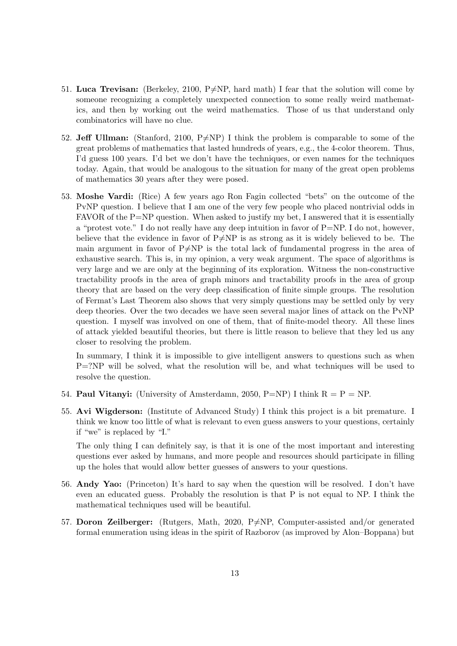- 51. Luca Trevisan: (Berkeley, 2100,  $P\neq NP$ , hard math) I fear that the solution will come by someone recognizing a completely unexpected connection to some really weird mathematics, and then by working out the weird mathematics. Those of us that understand only combinatorics will have no clue.
- 52. Jeff Ullman: (Stanford, 2100,  $P\neq NP$ ) I think the problem is comparable to some of the great problems of mathematics that lasted hundreds of years, e.g., the 4-color theorem. Thus, I'd guess 100 years. I'd bet we don't have the techniques, or even names for the techniques today. Again, that would be analogous to the situation for many of the great open problems of mathematics 30 years after they were posed.
- 53. Moshe Vardi: (Rice) A few years ago Ron Fagin collected "bets" on the outcome of the PvNP question. I believe that I am one of the very few people who placed nontrivial odds in FAVOR of the  $P=NP$  question. When asked to justify my bet, I answered that it is essentially a "protest vote." I do not really have any deep intuition in favor of  $P=NP$ . I do not, however, believe that the evidence in favor of  $P \neq NP$  is as strong as it is widely believed to be. The main argument in favor of  $P\neq NP$  is the total lack of fundamental progress in the area of exhaustive search. This is, in my opinion, a very weak argument. The space of algorithms is very large and we are only at the beginning of its exploration. Witness the non-constructive tractability proofs in the area of graph minors and tractability proofs in the area of group theory that are based on the very deep classification of finite simple groups. The resolution of Fermat's Last Theorem also shows that very simply questions may be settled only by very deep theories. Over the two decades we have seen several major lines of attack on the PvNP question. I myself was involved on one of them, that of finite-model theory. All these lines of attack yielded beautiful theories, but there is little reason to believe that they led us any closer to resolving the problem.

In summary, I think it is impossible to give intelligent answers to questions such as when P=?NP will be solved, what the resolution will be, and what techniques will be used to resolve the question.

- 54. **Paul Vitanyi:** (University of Amsterdamn, 2050, P=NP) I think  $R = P = NP$ .
- 55. Avi Wigderson: (Institute of Advanced Study) I think this project is a bit premature. I think we know too little of what is relevant to even guess answers to your questions, certainly if "we" is replaced by "I."

The only thing I can definitely say, is that it is one of the most important and interesting questions ever asked by humans, and more people and resources should participate in filling up the holes that would allow better guesses of answers to your questions.

- 56. Andy Yao: (Princeton) It's hard to say when the question will be resolved. I don't have even an educated guess. Probably the resolution is that P is not equal to NP. I think the mathematical techniques used will be beautiful.
- 57. Doron Zeilberger: (Rutgers, Math, 2020, P $\neq$ NP, Computer-assisted and/or generated formal enumeration using ideas in the spirit of Razborov (as improved by Alon–Boppana) but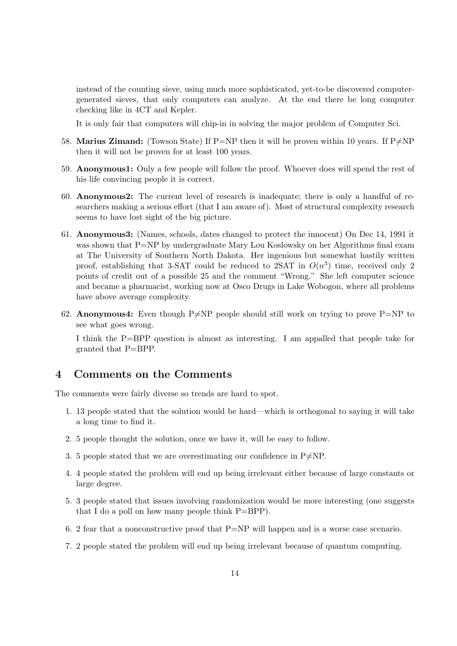instead of the counting sieve, using much more sophisticated, yet-to-be discovered computergenerated sieves, that only computers can analyze. At the end there be long computer checking like in 4CT and Kepler.

It is only fair that computers will chip-in in solving the major problem of Computer Sci.

- 58. Marius Zimand: (Towson State) If P=NP then it will be proven within 10 years. If P $\neq$ NP then it will not be proven for at least 100 years.
- 59. Anonymous1: Only a few people will follow the proof. Whoever does will spend the rest of his life convincing people it is correct.
- 60. Anonymous2: The current level of research is inadequate; there is only a handful of researchers making a serious effort (that I am aware of). Most of structural complexity research seems to have lost sight of the big picture.
- 61. Anonymous3: (Names, schools, dates changed to protect the innocent) On Dec 14, 1991 it was shown that P=NP by undergraduate Mary Lou Koslowsky on her Algorithms final exam at The University of Southern North Dakota. Her ingenious but somewhat hastily written proof, establishing that 3-SAT could be reduced to 2SAT in  $O(n^3)$  time, received only 2 points of credit out of a possible 25 and the comment "Wrong." She left computer science and became a pharmacist, working now at Osco Drugs in Lake Wobogon, where all problems have above average complexity.
- 62. Anonymous4: Even though P $\neq$ NP people should still work on trying to prove P=NP to see what goes wrong.

I think the P=BPP question is almost as interesting. I am appalled that people take for granted that P=BPP.

## 4 Comments on the Comments

The comments were fairly diverse so trends are hard to spot.

- 1. 13 people stated that the solution would be hard—which is orthogonal to saying it will take a long time to find it.
- 2. 5 people thought the solution, once we have it, will be easy to follow.
- 3. 5 people stated that we are overestimating our confidence in  $P\neq NP$ .
- 4. 4 people stated the problem will end up being irrelevant either because of large constants or large degree.
- 5. 3 people stated that issues involving randomization would be more interesting (one suggests that I do a poll on how many people think P=BPP).
- 6. 2 fear that a nonconstructive proof that P=NP will happen and is a worse case scenario.
- 7. 2 people stated the problem will end up being irrelevant because of quantum computing.